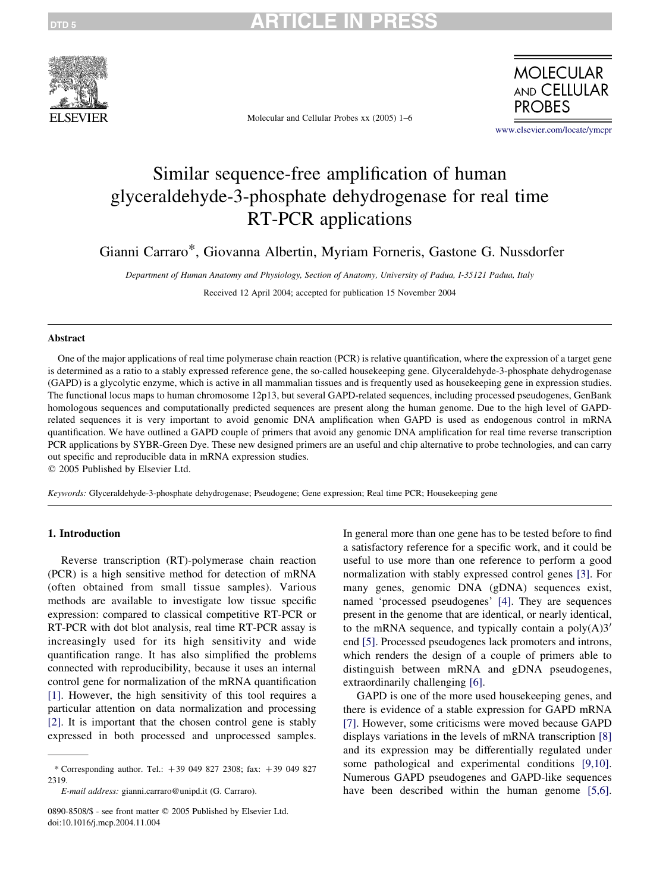

Molecular and Cellular Probes xx (2005) 1–6



[www.elsevier.com/locate/ymcpr](http://www.elsevier.com/locate/ymcpr)

# Similar sequence-free amplification of human glyceraldehyde-3-phosphate dehydrogenase for real time RT-PCR applications

Gianni Carraro\*, Giovanna Albertin, Myriam Forneris, Gastone G. Nussdorfer

Department of Human Anatomy and Physiology, Section of Anatomy, University of Padua, I-35121 Padua, Italy

Received 12 April 2004; accepted for publication 15 November 2004

#### Abstract

One of the major applications of real time polymerase chain reaction (PCR) is relative quantification, where the expression of a target gene is determined as a ratio to a stably expressed reference gene, the so-called housekeeping gene. Glyceraldehyde-3-phosphate dehydrogenase (GAPD) is a glycolytic enzyme, which is active in all mammalian tissues and is frequently used as housekeeping gene in expression studies. The functional locus maps to human chromosome 12p13, but several GAPD-related sequences, including processed pseudogenes, GenBank homologous sequences and computationally predicted sequences are present along the human genome. Due to the high level of GAPDrelated sequences it is very important to avoid genomic DNA amplification when GAPD is used as endogenous control in mRNA quantification. We have outlined a GAPD couple of primers that avoid any genomic DNA amplification for real time reverse transcription PCR applications by SYBR-Green Dye. These new designed primers are an useful and chip alternative to probe technologies, and can carry out specific and reproducible data in mRNA expression studies.

 $©$  2005 Published by Elsevier Ltd.

Keywords: Glyceraldehyde-3-phosphate dehydrogenase; Pseudogene; Gene expression; Real time PCR; Housekeeping gene

#### 1. Introduction

Reverse transcription (RT)-polymerase chain reaction (PCR) is a high sensitive method for detection of mRNA (often obtained from small tissue samples). Various methods are available to investigate low tissue specific expression: compared to classical competitive RT-PCR or RT-PCR with dot blot analysis, real time RT-PCR assay is increasingly used for its high sensitivity and wide quantification range. It has also simplified the problems connected with reproducibility, because it uses an internal control gene for normalization of the mRNA quantification [\[1\]](#page-4-0). However, the high sensitivity of this tool requires a particular attention on data normalization and processing [\[2\]](#page-4-0). It is important that the chosen control gene is stably expressed in both processed and unprocessed samples.

0890-8508/\$ - see front matter © 2005 Published by Elsevier Ltd. doi:10.1016/j.mcp.2004.11.004

In general more than one gene has to be tested before to find a satisfactory reference for a specific work, and it could be useful to use more than one reference to perform a good normalization with stably expressed control genes [\[3\]](#page-4-0). For many genes, genomic DNA (gDNA) sequences exist, named 'processed pseudogenes' [\[4\].](#page-4-0) They are sequences present in the genome that are identical, or nearly identical, to the mRNA sequence, and typically contain a  $poly(A)3'$ end [\[5\]](#page-4-0). Processed pseudogenes lack promoters and introns, which renders the design of a couple of primers able to distinguish between mRNA and gDNA pseudogenes, extraordinarily challenging [\[6\].](#page-5-0)

GAPD is one of the more used housekeeping genes, and there is evidence of a stable expression for GAPD mRNA [\[7\]](#page-5-0). However, some criticisms were moved because GAPD displays variations in the levels of mRNA transcription [\[8\]](#page-5-0) and its expression may be differentially regulated under some pathological and experimental conditions [\[9,10\]](#page-5-0). Numerous GAPD pseudogenes and GAPD-like sequences have been described within the human genome [\[5,6\]](#page-4-0).

<sup>\*</sup> Corresponding author. Tel.:  $+39$  049 827 2308; fax:  $+39$  049 827 2319.

E-mail address: gianni.carraro@unipd.it (G. Carraro).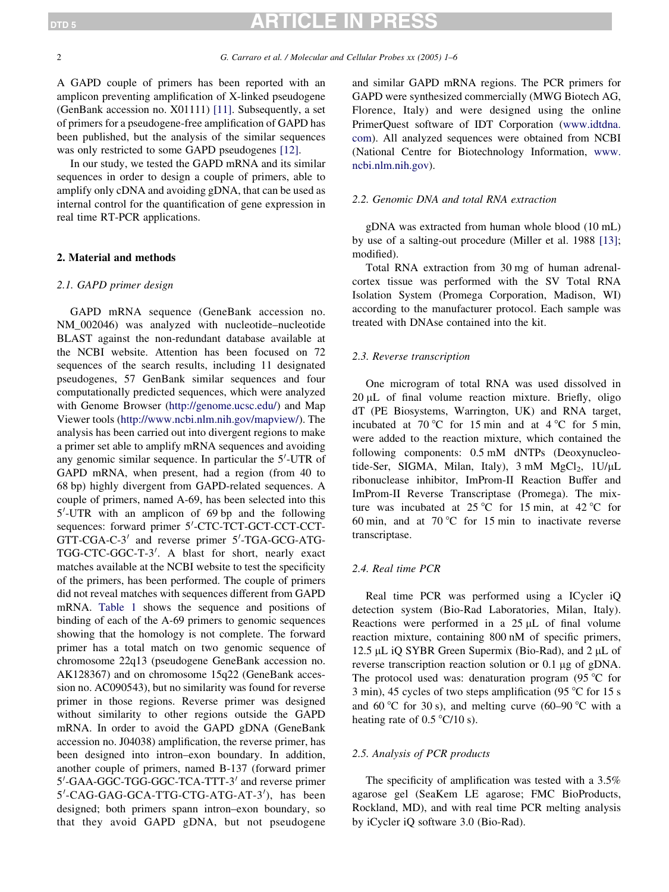### TICLE IN PRI

A GAPD couple of primers has been reported with an amplicon preventing amplification of X-linked pseudogene (GenBank accession no. X01111) [\[11\]](#page-5-0). Subsequently, a set of primers for a pseudogene-free amplification of GAPD has been published, but the analysis of the similar sequences was only restricted to some GAPD pseudogenes [\[12\].](#page-5-0)

In our study, we tested the GAPD mRNA and its similar sequences in order to design a couple of primers, able to amplify only cDNA and avoiding gDNA, that can be used as internal control for the quantification of gene expression in real time RT-PCR applications.

### 2. Material and methods

#### 2.1. GAPD primer design

GAPD mRNA sequence (GeneBank accession no. NM\_002046) was analyzed with nucleotide–nucleotide BLAST against the non-redundant database available at the NCBI website. Attention has been focused on 72 sequences of the search results, including 11 designated pseudogenes, 57 GenBank similar sequences and four computationally predicted sequences, which were analyzed with Genome Browser (<http://genome.ucsc.edu/>) and Map Viewer tools [\(http://www.ncbi.nlm.nih.gov/mapview/](http://www.ncbi.nlm.nih.gov/mapview/)). The analysis has been carried out into divergent regions to make a primer set able to amplify mRNA sequences and avoiding any genomic similar sequence. In particular the  $5'$ -UTR of GAPD mRNA, when present, had a region (from 40 to 68 bp) highly divergent from GAPD-related sequences. A couple of primers, named A-69, has been selected into this 5'-UTR with an amplicon of 69 bp and the following sequences: forward primer 5'-CTC-TCT-GCT-CCT-CCT-GTT-CGA-C-3<sup>'</sup> and reverse primer 5'-TGA-GCG-ATG-TGG-CTC-GGC-T-3'. A blast for short, nearly exact matches available at the NCBI website to test the specificity of the primers, has been performed. The couple of primers did not reveal matches with sequences different from GAPD mRNA. [Table 1](#page-2-0) shows the sequence and positions of binding of each of the A-69 primers to genomic sequences showing that the homology is not complete. The forward primer has a total match on two genomic sequence of chromosome 22q13 (pseudogene GeneBank accession no. AK128367) and on chromosome 15q22 (GeneBank accession no. AC090543), but no similarity was found for reverse primer in those regions. Reverse primer was designed without similarity to other regions outside the GAPD mRNA. In order to avoid the GAPD gDNA (GeneBank accession no. J04038) amplification, the reverse primer, has been designed into intron–exon boundary. In addition, another couple of primers, named B-137 (forward primer 5'-GAA-GGC-TGG-GGC-TCA-TTT-3' and reverse primer 5'-CAG-GAG-GCA-TTG-CTG-ATG-AT-3'), has been designed; both primers spann intron–exon boundary, so that they avoid GAPD gDNA, but not pseudogene

and similar GAPD mRNA regions. The PCR primers for GAPD were synthesized commercially (MWG Biotech AG, Florence, Italy) and were designed using the online PrimerQuest software of IDT Corporation [\(www.idtdna.](http://www.idtdna.com) [com\)](http://www.idtdna.com). All analyzed sequences were obtained from NCBI (National Centre for Biotechnology Information, [www.](http://www.ncbi.nlm.nih.gov) [ncbi.nlm.nih.gov\)](http://www.ncbi.nlm.nih.gov).

#### 2.2. Genomic DNA and total RNA extraction

gDNA was extracted from human whole blood (10 mL) by use of a salting-out procedure (Miller et al. 1988 [\[13\];](#page-5-0) modified).

Total RNA extraction from 30 mg of human adrenalcortex tissue was performed with the SV Total RNA Isolation System (Promega Corporation, Madison, WI) according to the manufacturer protocol. Each sample was treated with DNAse contained into the kit.

#### 2.3. Reverse transcription

One microgram of total RNA was used dissolved in  $20 \mu L$  of final volume reaction mixture. Briefly, oligo dT (PE Biosystems, Warrington, UK) and RNA target, incubated at  $70^{\circ}$ C for 15 min and at  $4^{\circ}$ C for 5 min, were added to the reaction mixture, which contained the following components: 0.5 mM dNTPs (Deoxynucleotide-Ser, SIGMA, Milan, Italy),  $3 \text{ mM } MgCl<sub>2</sub>$ ,  $1U/\mu L$ ribonuclease inhibitor, ImProm-II Reaction Buffer and ImProm-II Reverse Transcriptase (Promega). The mixture was incubated at  $25^{\circ}$ C for 15 min, at 42 °C for 60 min, and at  $70^{\circ}$ C for 15 min to inactivate reverse transcriptase.

#### 2.4. Real time PCR

Real time PCR was performed using a ICycler iQ detection system (Bio-Rad Laboratories, Milan, Italy). Reactions were performed in a  $25 \mu L$  of final volume reaction mixture, containing 800 nM of specific primers, 12.5 µL iO SYBR Green Supermix (Bio-Rad), and 2 µL of reverse transcription reaction solution or 0.1 μg of gDNA. The protocol used was: denaturation program  $(95 \degree C)$  for 3 min), 45 cycles of two steps amplification (95  $\degree$ C for 15 s and 60 °C for 30 s), and melting curve (60–90 °C with a heating rate of  $0.5 \degree C/10 \text{ s}$ .

#### 2.5. Analysis of PCR products

The specificity of amplification was tested with a 3.5% agarose gel (SeaKem LE agarose; FMC BioProducts, Rockland, MD), and with real time PCR melting analysis by iCycler iQ software 3.0 (Bio-Rad).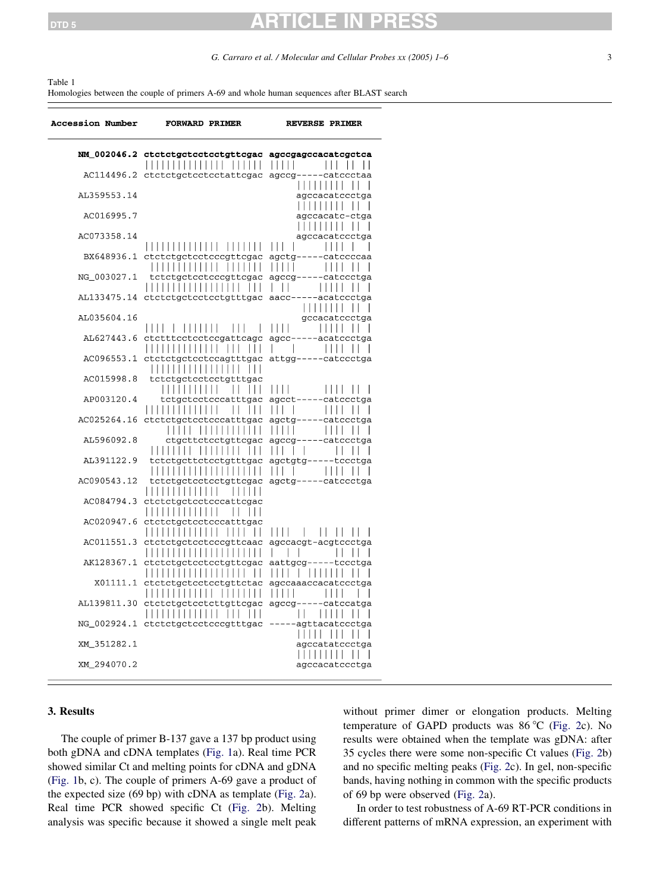#### <span id="page-2-0"></span>Table 1

Homologies between the couple of primers A-69 and whole human sequences after BLAST search

| <b>Accession Number</b> | <b>FORWARD PRIMER</b>                                                               | <b>REVERSE PRIMER</b>                                          |
|-------------------------|-------------------------------------------------------------------------------------|----------------------------------------------------------------|
|                         | NM_002046.2 ctctctgctcctcctgttcgac agccgagccacatcgctca<br>,,,,,,,,,,,,,,,,,,,,,     | ШП                                                             |
|                         | AC114496.2 ctctctgctcctcctattcgac agccg-----catccctaa                               | .                                                              |
| AL359553.14             |                                                                                     | agccacatccctga                                                 |
| AC016995.7              |                                                                                     | agccacatc-ctga<br>.                                            |
| AC073358.14             |                                                                                     | agccacatccctga                                                 |
| BX648936.1              | ,,,,,,,,,,,,,,,,,,,,,<br>ctctctgctcctcccgttcgac                                     | 111<br>agctg-----catccccaa                                     |
| NG_003027.1             | .<br>tctctgctcctcccgttcgac                                                          | $\perp$<br>agccg-----catccctga                                 |
| AL133475.14             | .<br>$\perp$<br>ctctctgctcctcctgtttgac aacc-----acatccctga                          | $\mathbf{I}$                                                   |
| AL035604.16             |                                                                                     | .<br>gccacatccctga                                             |
| AL627443.6              | $\Box$<br>,,,,,,,,<br>$\Box$<br>ctctttcctcctccgattcagc                              | $\Box$<br>$\Box$<br>agcc-----acatccctga                        |
| AC096553.1              | ,,,,,,,,,,,,,,,,,<br>$\perp$<br>ctctctgctcctccagtttgac                              | L<br>$\overline{\phantom{a}}$<br>$\Box$<br>attgg-----catccctga |
| AC015998.8              | .<br>tctctgctcctcctgtttgac                                                          |                                                                |
| AP003120.4              | .<br>$\Box$<br>$\Box$<br>tctgctcctcccatttgac                                        | $\Box$<br>1 I I I<br>agcct-<br>---catccctga                    |
| AC025264.16             | .<br>ctctctgctcctcccatttgac                                                         | $\vert \ \vert \ \vert$<br>1111<br>agctg-----catccctga         |
| AL596092.8              | .<br>$\begin{array}{c c c c c} \hline \end{array}$<br>$\perp$<br>ctgcttctcctgttcgac | $\frac{1}{2}$<br>1111<br>agccg-----catccctga                   |
| AL391122.9              | 1              <br>tctctgcttctcctgtttgac                                            | $\perp$<br>agctgtg-----tccctga                                 |
| AC090543.12             | ,,,,,,,,,,,,,,,,,,,,<br>tctctgctcctcctgttcgac                                       | $\Box$<br>$\mathsf{l}$<br>$\Box$<br>agctg-----catccctga        |
| AC084794.3              | .<br>ctctctgctcctcccattcgac                                                         |                                                                |
| AC020947.6              | ctctctgctcctcccatttgac                                                              |                                                                |
| AC011551.3              | .<br>$\Box$<br>ctctctgctcctcccgttcaac<br>, , , , , , , , , , , , , , , , , , , ,    | $\mathsf{L}$<br>Ш<br>$\Box$<br>agccacgt-acgtccctga<br>L<br>H   |
| AK128367.1              | ctctctgctcctcctgttcgac<br>,,,,,,,,,,,,,,,,,,                                        | aattgcg-----tccctga<br>$\Box$                                  |
| X01111.1                | $\perp$<br>ctctctgctcctcctgttctac<br>.<br>,,,,,,,,                                  | agccaaaccacatccctga                                            |
| AL139811.30             | ctctctgctcctcttgttcgac<br>.<br>$\Box$                                               | agccg-----catccatga                                            |
|                         | $\Box$<br>NG_002924.1 ctctctgctcctcccgtttgac -----agttacatccctga                    |                                                                |
| XM_351282.1             |                                                                                     | $\Box$<br>Ш<br>agccatatccctga<br>.                             |
| XM 294070.2             |                                                                                     | agccacatccctga                                                 |

#### 3. Results

The couple of primer B-137 gave a 137 bp product using both gDNA and cDNA templates ([Fig. 1](#page-3-0)a). Real time PCR showed similar Ct and melting points for cDNA and gDNA ([Fig. 1b](#page-3-0), c). The couple of primers A-69 gave a product of the expected size (69 bp) with cDNA as template ([Fig. 2](#page-4-0)a). Real time PCR showed specific Ct ([Fig. 2](#page-4-0)b). Melting analysis was specific because it showed a single melt peak

without primer dimer or elongation products. Melting temperature of GAPD products was  $86^{\circ}$ C [\(Fig. 2c](#page-4-0)). No results were obtained when the template was gDNA: after 35 cycles there were some non-specific Ct values ([Fig. 2](#page-4-0)b) and no specific melting peaks ([Fig. 2](#page-4-0)c). In gel, non-specific bands, having nothing in common with the specific products of 69 bp were observed [\(Fig. 2a](#page-4-0)).

In order to test robustness of A-69 RT-PCR conditions in different patterns of mRNA expression, an experiment with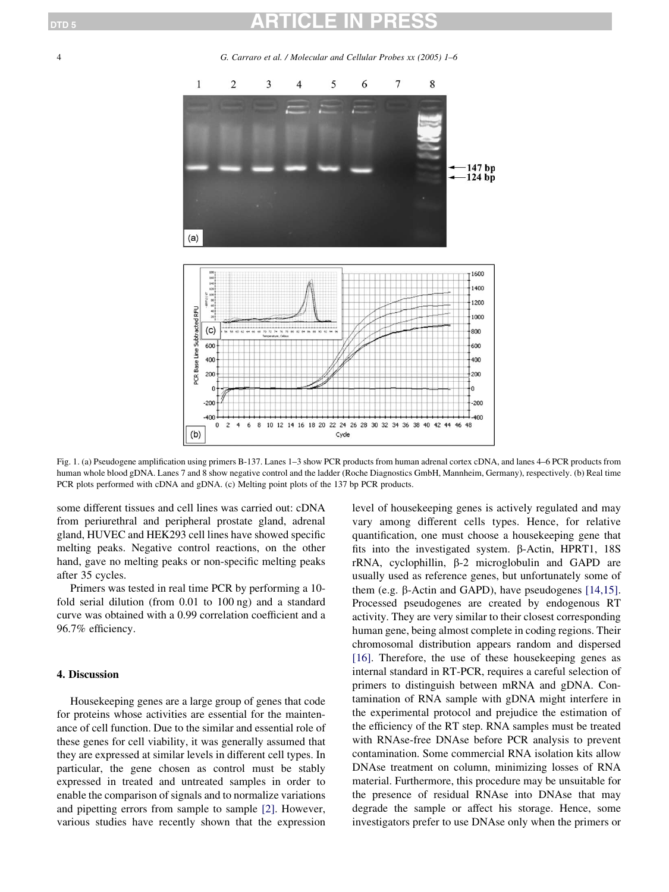<span id="page-3-0"></span>4 G. Carraro et al. / Molecular and Cellular Probes xx (2005) 1–6



Fig. 1. (a) Pseudogene amplification using primers B-137. Lanes 1–3 show PCR products from human adrenal cortex cDNA, and lanes 4–6 PCR products from human whole blood gDNA. Lanes 7 and 8 show negative control and the ladder (Roche Diagnostics GmbH, Mannheim, Germany), respectively. (b) Real time PCR plots performed with cDNA and gDNA. (c) Melting point plots of the 137 bp PCR products.

some different tissues and cell lines was carried out: cDNA from periurethral and peripheral prostate gland, adrenal gland, HUVEC and HEK293 cell lines have showed specific melting peaks. Negative control reactions, on the other hand, gave no melting peaks or non-specific melting peaks after 35 cycles.

Primers was tested in real time PCR by performing a 10 fold serial dilution (from 0.01 to 100 ng) and a standard curve was obtained with a 0.99 correlation coefficient and a 96.7% efficiency.

#### 4. Discussion

Housekeeping genes are a large group of genes that code for proteins whose activities are essential for the maintenance of cell function. Due to the similar and essential role of these genes for cell viability, it was generally assumed that they are expressed at similar levels in different cell types. In particular, the gene chosen as control must be stably expressed in treated and untreated samples in order to enable the comparison of signals and to normalize variations and pipetting errors from sample to sample [\[2\].](#page-4-0) However, various studies have recently shown that the expression

level of housekeeping genes is actively regulated and may vary among different cells types. Hence, for relative quantification, one must choose a housekeeping gene that fits into the investigated system.  $\beta$ -Actin, HPRT1, 18S  $rRNA$ , cyclophillin,  $\beta$ -2 microglobulin and GAPD are usually used as reference genes, but unfortunately some of them (e.g.  $\beta$ -Actin and GAPD), have pseudogenes [\[14,15\]](#page-5-0). Processed pseudogenes are created by endogenous RT activity. They are very similar to their closest corresponding human gene, being almost complete in coding regions. Their chromosomal distribution appears random and dispersed [\[16\]](#page-5-0). Therefore, the use of these housekeeping genes as internal standard in RT-PCR, requires a careful selection of primers to distinguish between mRNA and gDNA. Contamination of RNA sample with gDNA might interfere in the experimental protocol and prejudice the estimation of the efficiency of the RT step. RNA samples must be treated with RNAse-free DNAse before PCR analysis to prevent contamination. Some commercial RNA isolation kits allow DNAse treatment on column, minimizing losses of RNA material. Furthermore, this procedure may be unsuitable for the presence of residual RNAse into DNAse that may degrade the sample or affect his storage. Hence, some investigators prefer to use DNAse only when the primers or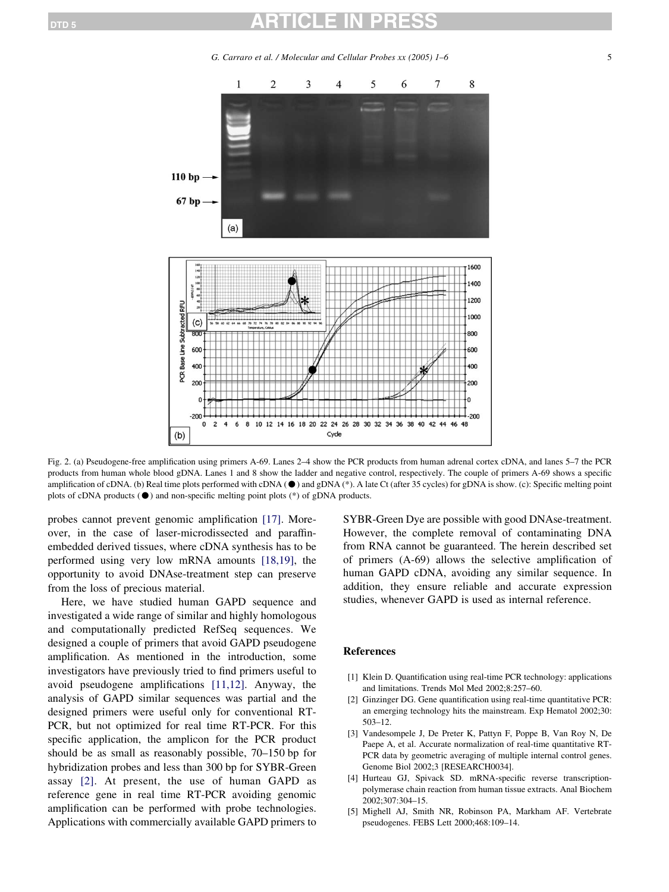G. Carraro et al. / Molecular and Cellular Probes  $xx(2005)$  1–6 5

<span id="page-4-0"></span>

Fig. 2. (a) Pseudogene-free amplification using primers A-69. Lanes 2–4 show the PCR products from human adrenal cortex cDNA, and lanes 5–7 the PCR products from human whole blood gDNA. Lanes 1 and 8 show the ladder and negative control, respectively. The couple of primers A-69 shows a specific amplification of cDNA. (b) Real time plots performed with cDNA  $(\bullet)$  and gDNA (\*). A late Ct (after 35 cycles) for gDNA is show. (c): Specific melting point plots of cDNA products  $(\bullet)$  and non-specific melting point plots (\*) of gDNA products.

probes cannot prevent genomic amplification [\[17\]](#page-5-0). Moreover, in the case of laser-microdissected and paraffinembedded derived tissues, where cDNA synthesis has to be performed using very low mRNA amounts [\[18,19\],](#page-5-0) the opportunity to avoid DNAse-treatment step can preserve from the loss of precious material.

Here, we have studied human GAPD sequence and investigated a wide range of similar and highly homologous and computationally predicted RefSeq sequences. We designed a couple of primers that avoid GAPD pseudogene amplification. As mentioned in the introduction, some investigators have previously tried to find primers useful to avoid pseudogene amplifications [\[11,12\].](#page-5-0) Anyway, the analysis of GAPD similar sequences was partial and the designed primers were useful only for conventional RT-PCR, but not optimized for real time RT-PCR. For this specific application, the amplicon for the PCR product should be as small as reasonably possible, 70–150 bp for hybridization probes and less than 300 bp for SYBR-Green assay [2]. At present, the use of human GAPD as reference gene in real time RT-PCR avoiding genomic amplification can be performed with probe technologies. Applications with commercially available GAPD primers to

SYBR-Green Dye are possible with good DNAse-treatment. However, the complete removal of contaminating DNA from RNA cannot be guaranteed. The herein described set of primers (A-69) allows the selective amplification of human GAPD cDNA, avoiding any similar sequence. In addition, they ensure reliable and accurate expression studies, whenever GAPD is used as internal reference.

### References

- [1] Klein D. Quantification using real-time PCR technology: applications and limitations. Trends Mol Med 2002;8:257–60.
- [2] Ginzinger DG. Gene quantification using real-time quantitative PCR: an emerging technology hits the mainstream. Exp Hematol 2002;30: 503–12.
- [3] Vandesompele J, De Preter K, Pattyn F, Poppe B, Van Roy N, De Paepe A, et al. Accurate normalization of real-time quantitative RT-PCR data by geometric averaging of multiple internal control genes. Genome Biol 2002;3 [RESEARCH0034].
- [4] Hurteau GJ, Spivack SD. mRNA-specific reverse transcriptionpolymerase chain reaction from human tissue extracts. Anal Biochem 2002;307:304–15.
- [5] Mighell AJ, Smith NR, Robinson PA, Markham AF. Vertebrate pseudogenes. FEBS Lett 2000;468:109–14.